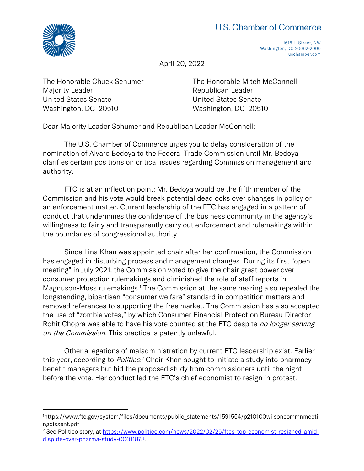## U.S. Chamber of Commerce



1615 H Street, NW Washington, DC 20062-2000 uschamber.com

April 20, 2022

The Honorable Chuck Schumer Majority Leader United States Senate Washington, DC 20510

The Honorable Mitch McConnell Republican Leader United States Senate Washington, DC 20510

Dear Majority Leader Schumer and Republican Leader McConnell:

The U.S. Chamber of Commerce urges you to delay consideration of the nomination of Alvaro Bedoya to the Federal Trade Commission until Mr. Bedoya clarifies certain positions on critical issues regarding Commission management and authority.

FTC is at an inflection point; Mr. Bedoya would be the fifth member of the Commission and his vote would break potential deadlocks over changes in policy or an enforcement matter. Current leadership of the FTC has engaged in a pattern of conduct that undermines the confidence of the business community in the agency's willingness to fairly and transparently carry out enforcement and rulemakings within the boundaries of congressional authority.

Since Lina Khan was appointed chair after her confirmation, the Commission has engaged in disturbing process and management changes. During its first "open meeting" in July 2021, the Commission voted to give the chair great power over consumer protection rulemakings and diminished the role of staff reports in Magnuson-Moss rulemakings.<sup>1</sup> The Commission at the same hearing also repealed the longstanding, bipartisan "consumer welfare" standard in competition matters and removed references to supporting the free market. The Commission has also accepted the use of "zombie votes," by which Consumer Financial Protection Bureau Director Rohit Chopra was able to have his vote counted at the FTC despite no longer serving on the Commission. This practice is patently unlawful.

Other allegations of maladministration by current FTC leadership exist. Earlier this year, according to *Politico*,<sup>2</sup> Chair Khan sought to initiate a study into pharmacy benefit managers but hid the proposed study from commissioners until the night before the vote. Her conduct led the FTC's chief economist to resign in protest.

<sup>1</sup>https://www.ftc.gov/system/files/documents/public\_statements/1591554/p210100wilsoncommnmeeti ngdissent.pdf

<sup>&</sup>lt;sup>2</sup> See Politico story, at [https://www.politico.com/news/2022/02/25/ftcs-top-economist-resigned-amid](https://www.politico.com/news/2022/02/25/ftcs-top-economist-resigned-amid-dispute-over-pharma-study-00011878)[dispute-over-pharma-study-00011878.](https://www.politico.com/news/2022/02/25/ftcs-top-economist-resigned-amid-dispute-over-pharma-study-00011878)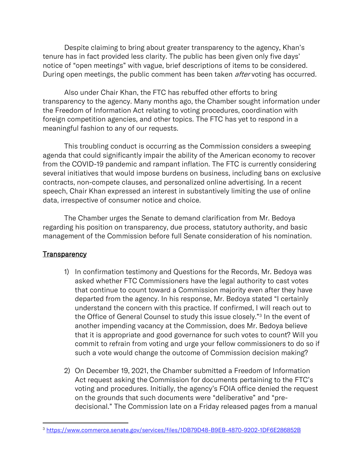Despite claiming to bring about greater transparency to the agency, Khan's tenure has in fact provided less clarity. The public has been given only five days' notice of "open meetings" with vague, brief descriptions of items to be considered. During open meetings, the public comment has been taken *after* voting has occurred.

Also under Chair Khan, the FTC has rebuffed other efforts to bring transparency to the agency. Many months ago, the Chamber sought information under the Freedom of Information Act relating to voting procedures, coordination with foreign competition agencies, and other topics. The FTC has yet to respond in a meaningful fashion to any of our requests.

This troubling conduct is occurring as the Commission considers a sweeping agenda that could significantly impair the ability of the American economy to recover from the COVID-19 pandemic and rampant inflation. The FTC is currently considering several initiatives that would impose burdens on business, including bans on exclusive contracts, non-compete clauses, and personalized online advertising. In a recent speech, Chair Khan expressed an interest in substantively limiting the use of online data, irrespective of consumer notice and choice.

The Chamber urges the Senate to demand clarification from Mr. Bedoya regarding his position on transparency, due process, statutory authority, and basic management of the Commission before full Senate consideration of his nomination.

## **Transparency**

- 1) In confirmation testimony and Questions for the Records, Mr. Bedoya was asked whether FTC Commissioners have the legal authority to cast votes that continue to count toward a Commission majority even after they have departed from the agency. In his response, Mr. Bedoya stated "I certainly understand the concern with this practice. If confirmed, I will reach out to the Office of General Counsel to study this issue closely."<sup>3</sup> In the event of another impending vacancy at the Commission, does Mr. Bedoya believe that it is appropriate and good governance for such votes to count? Will you commit to refrain from voting and urge your fellow commissioners to do so if such a vote would change the outcome of Commission decision making?
- 2) On December 19, 2021, the Chamber submitted a Freedom of Information Act request asking the Commission for documents pertaining to the FTC's voting and procedures. Initially, the agency's FOIA office denied the request on the grounds that such documents were "deliberative" and "predecisional." The Commission late on a Friday released pages from a manual

<sup>3</sup> <https://www.commerce.senate.gov/services/files/1DB79D48-B9EB-4870-9202-1DF6E286852B>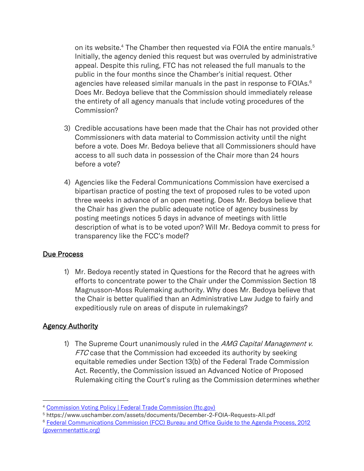on its website.<sup>4</sup> The Chamber then requested via FOIA the entire manuals.<sup>5</sup> Initially, the agency denied this request but was overruled by administrative appeal. Despite this ruling, FTC has not released the full manuals to the public in the four months since the Chamber's initial request. Other agencies have released similar manuals in the past in response to FOIAs.<sup>6</sup> Does Mr. Bedoya believe that the Commission should immediately release the entirety of all agency manuals that include voting procedures of the Commission?

- 3) Credible accusations have been made that the Chair has not provided other Commissioners with data material to Commission activity until the night before a vote. Does Mr. Bedoya believe that all Commissioners should have access to all such data in possession of the Chair more than 24 hours before a vote?
- 4) Agencies like the Federal Communications Commission have exercised a bipartisan practice of posting the text of proposed rules to be voted upon three weeks in advance of an open meeting. Does Mr. Bedoya believe that the Chair has given the public adequate notice of agency business by posting meetings notices 5 days in advance of meetings with little description of what is to be voted upon? Will Mr. Bedoya commit to press for transparency like the FCC's model?

## Due Process

1) Mr. Bedoya recently stated in Questions for the Record that he agrees with efforts to concentrate power to the Chair under the Commission Section 18 Magnusson-Moss Rulemaking authority. Why does Mr. Bedoya believe that the Chair is better qualified than an Administrative Law Judge to fairly and expeditiously rule on areas of dispute in rulemakings?

## **Agency Authority**

1) The Supreme Court unanimously ruled in the *AMG Capital Management v.* FTC case that the Commission had exceeded its authority by seeking equitable remedies under Section 13(b) of the Federal Trade Commission Act. Recently, the Commission issued an Advanced Notice of Proposed Rulemaking citing the Court's ruling as the Commission determines whether

<sup>&</sup>lt;sup>4</sup> [Commission Voting Policy | Federal Trade Commission \(ftc.gov\)](https://www.ftc.gov/legal-library/browse/frequently-requested-foia-records/commission-voting-policy)

<sup>5</sup> https://www.uschamber.com/assets/documents/December-2-FOIA-Requests-All.pdf

<sup>6</sup> [Federal Communications Commission \(FCC\) Bureau and Office Guide to the Agenda Process, 2012](https://www.governmentattic.org/26docs/FCCbogAgendaProcess_2012.pdf)  [\(governmentattic.org\)](https://www.governmentattic.org/26docs/FCCbogAgendaProcess_2012.pdf)